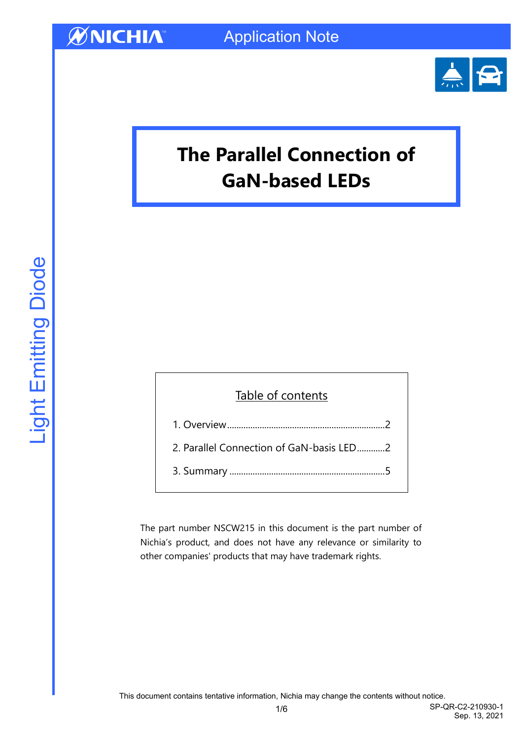

# **The Parallel Connection of GaN-based LEDs**

## Table of contents 1. Overview[....................................................................](#page-1-0)2 [2. Parallel Connection of GaN-basis LED](#page-1-1)............2

3. Summary [...................................................................](#page-4-0)5

The part number NSCW215 in this document is the part number of Nichia's product, and does not have any relevance or similarity to other companies' products that may have trademark rights.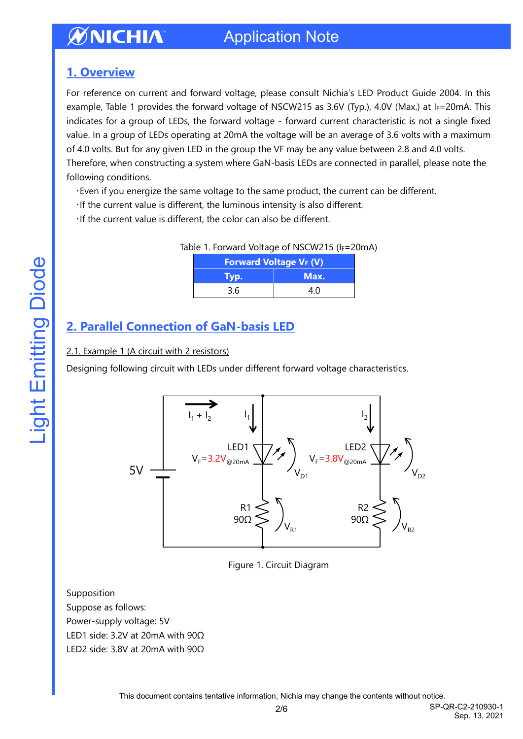### <span id="page-1-0"></span>**1. Overview**

For reference on current and forward voltage, please consult Nichia's LED Product Guide 2004. In this example, Table 1 provides the forward voltage of NSCW215 as 3.6V (Typ.), 4.0V (Max.) at IF=20mA. This indicates for a group of LEDs, the forward voltage - forward current characteristic is not a single fixed value. In a group of LEDs operating at 20mA the voltage will be an average of 3.6 volts with a maximum of 4.0 volts. But for any given LED in the group the VF may be any value between 2.8 and 4.0 volts.

Therefore, when constructing a system where GaN-basis LEDs are connected in parallel, please note the following conditions.

- ・Even if you energize the same voltage to the same product, the current can be different.
- ・If the current value is different, the luminous intensity is also different.
- ・If the current value is different, the color can also be different.

|  | Table 1. Forward Voltage of NSCW215 (IF=20mA) |  |
|--|-----------------------------------------------|--|
|  |                                               |  |

| <b>Forward Voltage VF (V)</b> |      |  |  |
|-------------------------------|------|--|--|
| Tvp.                          | Max. |  |  |
| 3.6                           | 4 N  |  |  |

### <span id="page-1-1"></span>**2. Parallel Connection of GaN-basis LED**

2.1. Example 1 (A circuit with 2 resistors)

Designing following circuit with LEDs under different forward voltage characteristics.



Figure 1. Circuit Diagram

Supposition Suppose as follows: Power-supply voltage: 5V LED1 side: 3.2V at 20mA with 90Ω LED2 side: 3.8V at 20mA with 90Ω

This document contains tentative information, Nichia may change the contents without notice.

Light Emitting Diode

**Light Emitting Diode**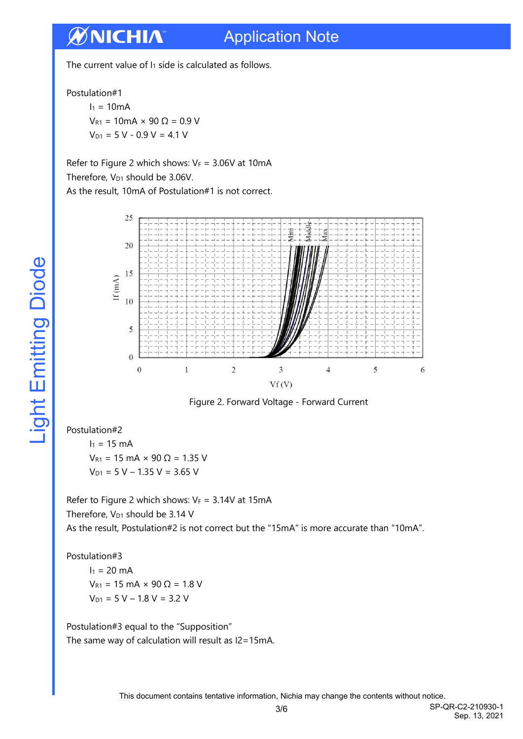The current value of  $I_1$  side is calculated as follows.

Postulation#1

 $I_1 = 10mA$  $V_{R1} = 10$ mA × 90 Ω = 0.9 V  $V_{D1} = 5 V - 0.9 V = 4.1 V$ 

Refer to Figure 2 which shows:  $V_F = 3.06V$  at 10mA Therefore,  $V_{D1}$  should be 3.06V.

As the result, 10mA of Postulation#1 is not correct.



Figure 2. Forward Voltage - Forward Current

Postulation#2

 $I_1 = 15$  mA  $V_{R1}$  = 15 mA × 90 Ω = 1.35 V  $V_{D1} = 5 V - 1.35 V = 3.65 V$ 

Refer to Figure 2 which shows:  $V_F = 3.14V$  at 15mA Therefore,  $V_{D1}$  should be 3.14 V As the result, Postulation#2 is not correct but the "15mA" is more accurate than "10mA".

Postulation#3

 $I_1 = 20$  mA  $V_{R1}$  = 15 mA × 90 Ω = 1.8 V  $V_{D1} = 5 V - 1.8 V = 3.2 V$ 

Postulation#3 equal to the "Supposition" The same way of calculation will result as I2=15mA.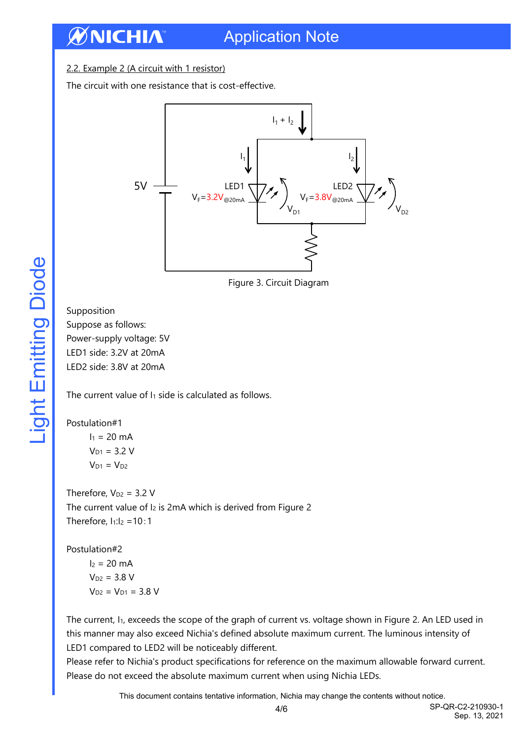2.2. Example 2 (A circuit with 1 resistor)

The circuit with one resistance that is cost-effective.



Figure 3. Circuit Diagram

Supposition Suppose as follows: Power-supply voltage: 5V LED1 side: 3.2V at 20mA LED2 side: 3.8V at 20mA

The current value of I<sub>1</sub> side is calculated as follows.

#### Postulation#1

 $I_1 = 20$  mA  $V_{D1} = 3.2 V$  $V_{D1} = V_{D2}$ 

Therefore,  $V_{D2} = 3.2 V$ The current value of I<sub>2</sub> is 2mA which is derived from Figure 2 Therefore,  $I_1:I_2 = 10:1$ 

Postulation#2

 $I_2 = 20$  mA  $V_{D2} = 3.8 V$  $V_{D2} = V_{D1} = 3.8 V$ 

The current, I<sub>1</sub>, exceeds the scope of the graph of current vs. voltage shown in Figure 2. An LED used in this manner may also exceed Nichia's defined absolute maximum current. The luminous intensity of LED1 compared to LED2 will be noticeably different.

Please refer to Nichia's product specifications for reference on the maximum allowable forward current. Please do not exceed the absolute maximum current when using Nichia LEDs.

This document contains tentative information, Nichia may change the contents without notice.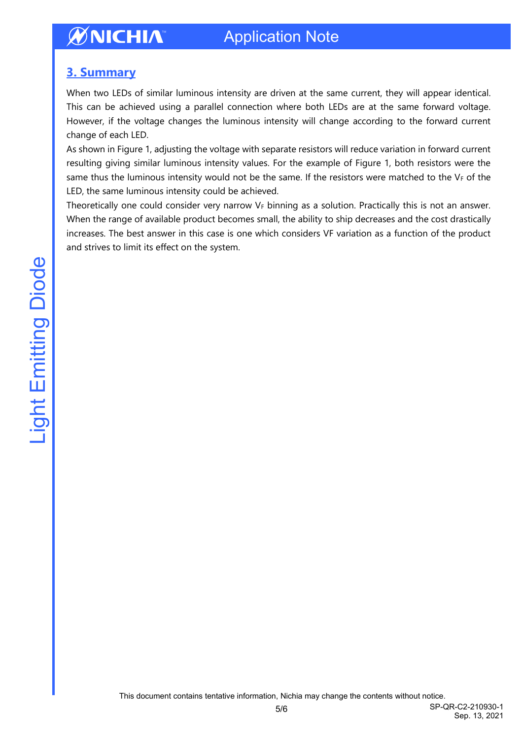### Application Note

### <span id="page-4-0"></span>**3. Summary**

When two LEDs of similar luminous intensity are driven at the same current, they will appear identical. This can be achieved using a parallel connection where both LEDs are at the same forward voltage. However, if the voltage changes the luminous intensity will change according to the forward current change of each LED.

As shown in Figure 1, adjusting the voltage with separate resistors will reduce variation in forward current resulting giving similar luminous intensity values. For the example of Figure 1, both resistors were the same thus the luminous intensity would not be the same. If the resistors were matched to the  $V_F$  of the LED, the same luminous intensity could be achieved.

Theoretically one could consider very narrow  $V_F$  binning as a solution. Practically this is not an answer. When the range of available product becomes small, the ability to ship decreases and the cost drastically increases. The best answer in this case is one which considers VF variation as a function of the product and strives to limit its effect on the system.

This document contains tentative information, Nichia may change the contents without notice.

Sep. 13, 2021